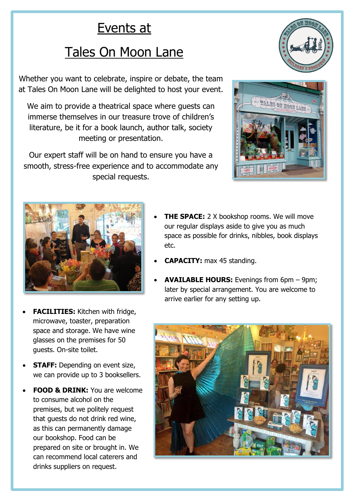## Events at

## Tales On Moon Lane

Whether you want to celebrate, inspire or debate, the team at Tales On Moon Lane will be delighted to host your event.

We aim to provide a theatrical space where guests can immerse themselves in our treasure trove of children's literature, be it for a book launch, author talk, society meeting or presentation.

Our expert staff will be on hand to ensure you have a smooth, stress-free experience and to accommodate any special requests.







- **FACILITIES:** Kitchen with fridge, microwave, toaster, preparation space and storage. We have wine glasses on the premises for 50 guests. On-site toilet.
- **STAFF:** Depending on event size, we can provide up to 3 booksellers.
- **FOOD & DRINK:** You are welcome to consume alcohol on the premises, but we politely request that guests do not drink red wine, as this can permanently damage our bookshop. Food can be prepared on site or brought in. We can recommend local caterers and drinks suppliers on request.
- **THE SPACE:** 2 X bookshop rooms. We will move our regular displays aside to give you as much space as possible for drinks, nibbles, book displays etc.
- **CAPACITY:** max 45 standing.
- **AVAILABLE HOURS:** Evenings from 6pm 9pm; later by special arrangement. You are welcome to arrive earlier for any setting up.